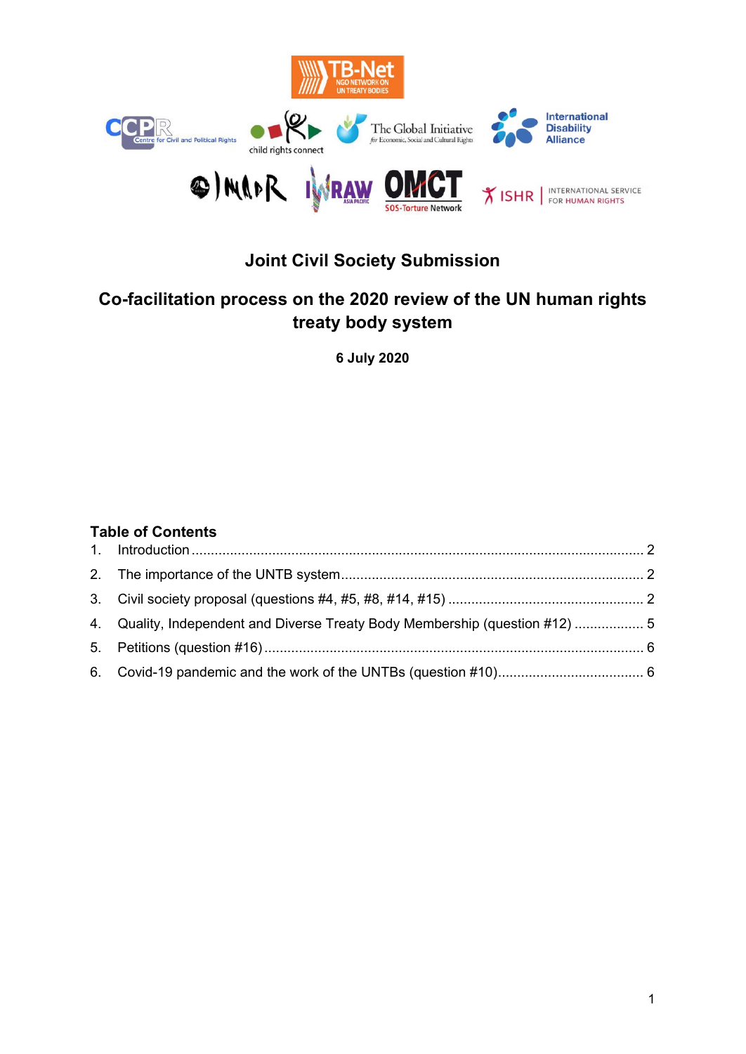

# **Joint Civil Society Submission**

## **Co-facilitation process on the 2020 review of the UN human rights treaty body system**

**6 July 2020** 

### **Table of Contents**

| 4. Quality, Independent and Diverse Treaty Body Membership (question #12)  5 |  |
|------------------------------------------------------------------------------|--|
|                                                                              |  |
|                                                                              |  |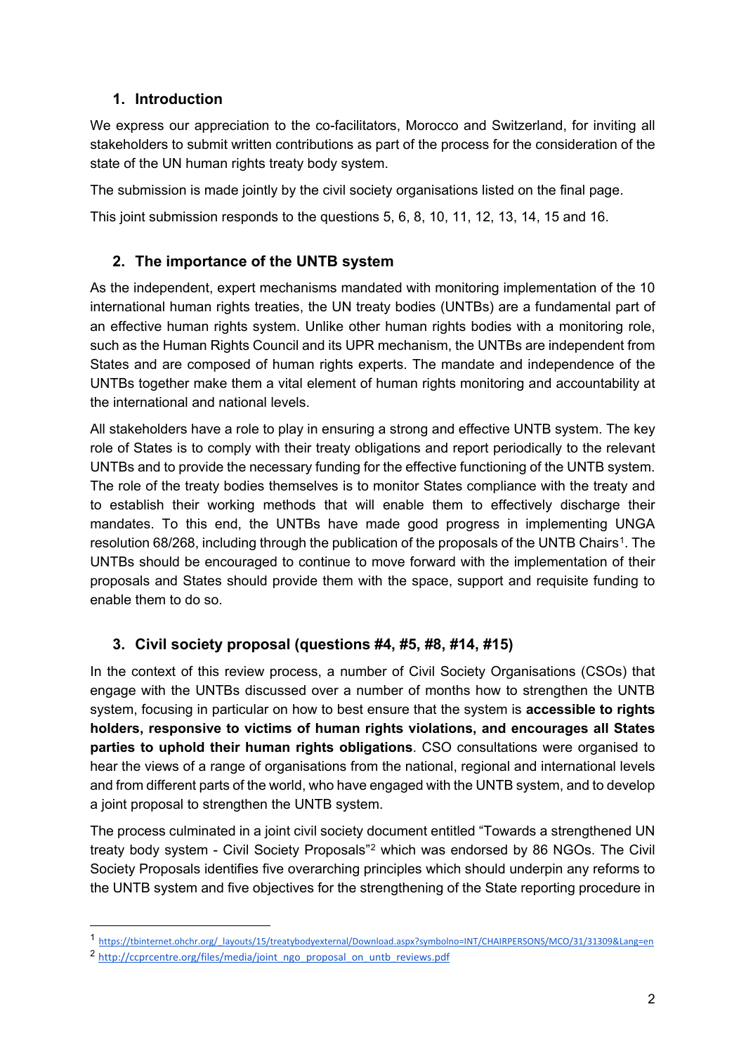## <span id="page-1-0"></span>**1. Introduction**

We express our appreciation to the co-facilitators, Morocco and Switzerland, for inviting all stakeholders to submit written contributions as part of the process for the consideration of the state of the UN human rights treaty body system.

The submission is made jointly by the civil society organisations listed on the final page.

<span id="page-1-1"></span>This joint submission responds to the questions 5, 6, 8, 10, 11, 12, 13, 14, 15 and 16.

## **2. The importance of the UNTB system**

As the independent, expert mechanisms mandated with monitoring implementation of the 10 international human rights treaties, the UN treaty bodies (UNTBs) are a fundamental part of an effective human rights system. Unlike other human rights bodies with a monitoring role, such as the Human Rights Council and its UPR mechanism, the UNTBs are independent from States and are composed of human rights experts. The mandate and independence of the UNTBs together make them a vital element of human rights monitoring and accountability at the international and national levels.

All stakeholders have a role to play in ensuring a strong and effective UNTB system. The key role of States is to comply with their treaty obligations and report periodically to the relevant UNTBs and to provide the necessary funding for the effective functioning of the UNTB system. The role of the treaty bodies themselves is to monitor States compliance with the treaty and to establish their working methods that will enable them to effectively discharge their mandates. To this end, the UNTBs have made good progress in implementing UNGA resolution 68/268, including through the publication of the proposals of the UNTB Chairs<sup>1</sup>. The UNTBs should be encouraged to continue to move forward with the implementation of their proposals and States should provide them with the space, support and requisite funding to enable them to do so.

## <span id="page-1-2"></span>**3. Civil society proposal (questions #4, #5, #8, #14, #15)**

In the context of this review process, a number of Civil Society Organisations (CSOs) that engage with the UNTBs discussed over a number of months how to strengthen the UNTB system, focusing in particular on how to best ensure that the system is **accessible to rights holders, responsive to victims of human rights violations, and encourages all States parties to uphold their human rights obligations**. CSO consultations were organised to hear the views of a range of organisations from the national, regional and international levels and from different parts of the world, who have engaged with the UNTB system, and to develop a joint proposal to strengthen the UNTB system.

The process culminated in a joint civil society document entitled "Towards a strengthened UN treaty body system - Civil Society Proposals"[2](#page-1-4) which was endorsed by 86 NGOs. The Civil Society Proposals identifies five overarching principles which should underpin any reforms to the UNTB system and five objectives for the strengthening of the State reporting procedure in

-

<span id="page-1-3"></span><sup>1</sup> [https://tbinternet.ohchr.org/\\_layouts/15/treatybodyexternal/Download.aspx?symbolno=INT/CHAIRPERSONS/MCO/31/31309&Lang=en](https://tbinternet.ohchr.org/_layouts/15/treatybodyexternal/Download.aspx?symbolno=INT/CHAIRPERSONS/MCO/31/31309&Lang=en) 

<span id="page-1-4"></span><sup>&</sup>lt;sup>2</sup> [http://ccprcentre.org/files/media/joint\\_ngo\\_proposal\\_on\\_untb\\_reviews.pdf](http://ccprcentre.org/files/media/joint_ngo_proposal_on_untb_reviews.pdf)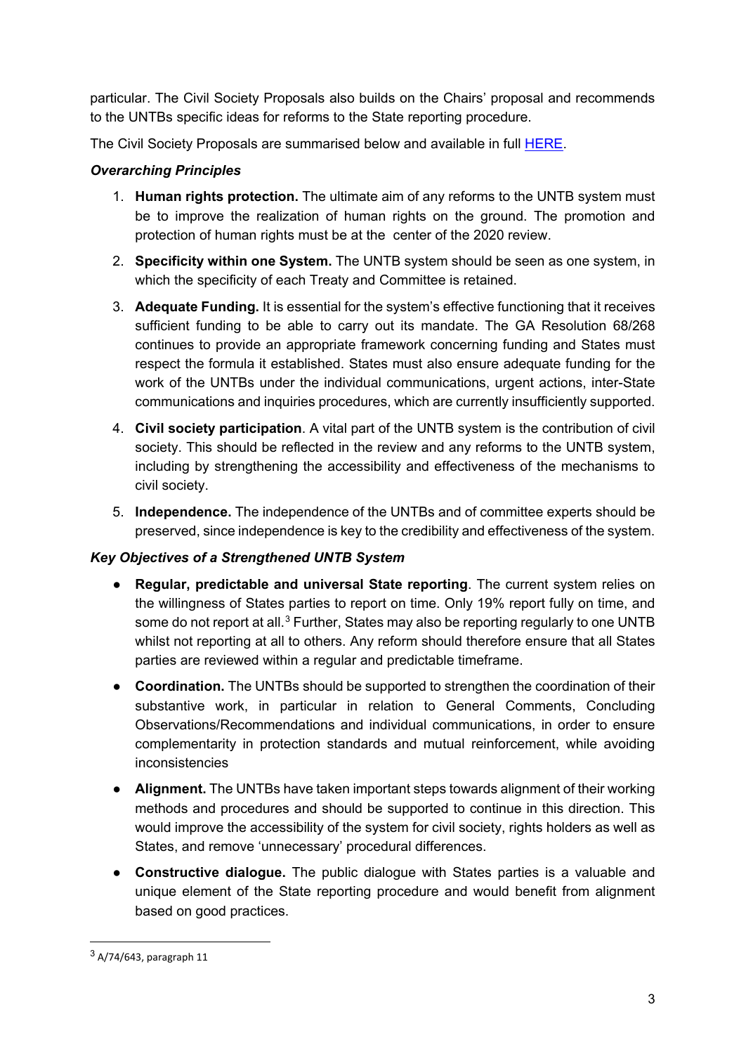particular. The Civil Society Proposals also builds on the Chairs' proposal and recommends to the UNTBs specific ideas for reforms to the State reporting procedure.

The Civil Society Proposals are summarised below and available in full [HERE.](https://www.ishr.ch/news/treaty-bodies-new-ngo-proposals-2020-review)

### *Overarching Principles*

- 1. **Human rights protection.** The ultimate aim of any reforms to the UNTB system must be to improve the realization of human rights on the ground. The promotion and protection of human rights must be at the center of the 2020 review.
- 2. **Specificity within one System.** The UNTB system should be seen as one system, in which the specificity of each Treaty and Committee is retained.
- 3. **Adequate Funding.** It is essential for the system's effective functioning that it receives sufficient funding to be able to carry out its mandate. The GA Resolution 68/268 continues to provide an appropriate framework concerning funding and States must respect the formula it established. States must also ensure adequate funding for the work of the UNTBs under the individual communications, urgent actions, inter-State communications and inquiries procedures, which are currently insufficiently supported.
- 4. **Civil society participation**. A vital part of the UNTB system is the contribution of civil society. This should be reflected in the review and any reforms to the UNTB system, including by strengthening the accessibility and effectiveness of the mechanisms to civil society.
- 5. **Independence.** The independence of the UNTBs and of committee experts should be preserved, since independence is key to the credibility and effectiveness of the system.

#### *Key Objectives of a Strengthened UNTB System*

- **Regular, predictable and universal State reporting**. The current system relies on the willingness of States parties to report on time. Only 19% report fully on time, and some do not report at all.<sup>[3](#page-2-0)</sup> Further, States may also be reporting regularly to one UNTB whilst not reporting at all to others. Any reform should therefore ensure that all States parties are reviewed within a regular and predictable timeframe.
- **Coordination.** The UNTBs should be supported to strengthen the coordination of their substantive work, in particular in relation to General Comments, Concluding Observations/Recommendations and individual communications, in order to ensure complementarity in protection standards and mutual reinforcement, while avoiding inconsistencies
- **Alignment.** The UNTBs have taken important steps towards alignment of their working methods and procedures and should be supported to continue in this direction. This would improve the accessibility of the system for civil society, rights holders as well as States, and remove 'unnecessary' procedural differences.
- **Constructive dialogue.** The public dialogue with States parties is a valuable and unique element of the State reporting procedure and would benefit from alignment based on good practices.

<u>.</u>

<span id="page-2-0"></span><sup>3</sup> A/74/643, paragraph 11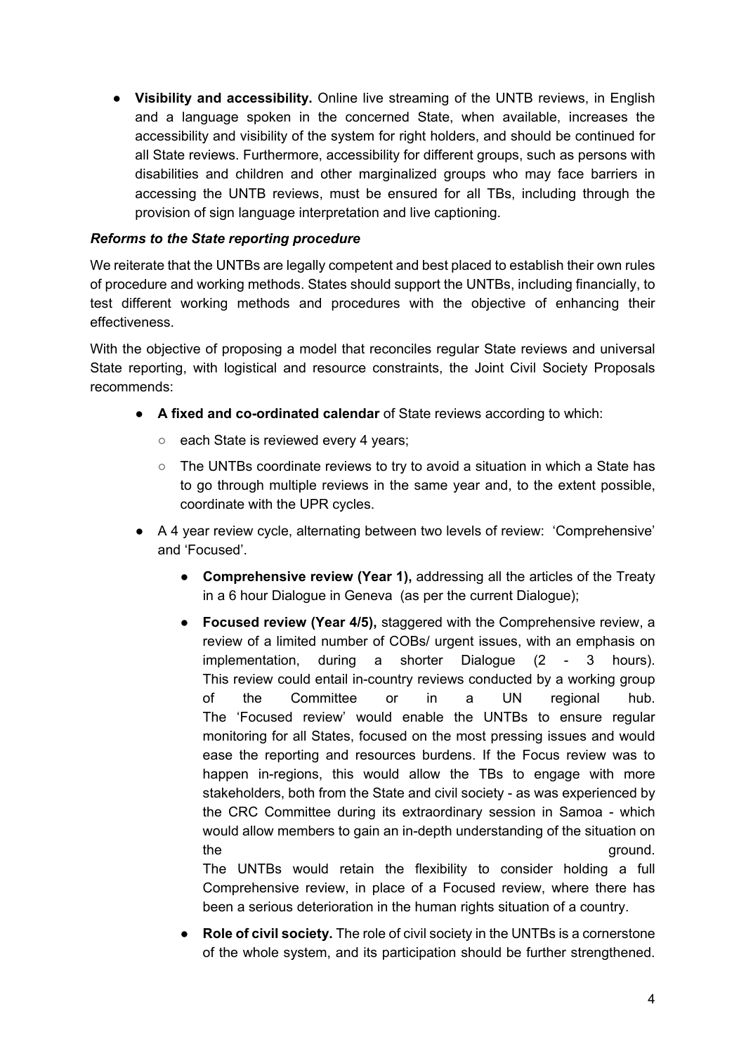● **Visibility and accessibility.** Online live streaming of the UNTB reviews, in English and a language spoken in the concerned State, when available, increases the accessibility and visibility of the system for right holders, and should be continued for all State reviews. Furthermore, accessibility for different groups, such as persons with disabilities and children and other marginalized groups who may face barriers in accessing the UNTB reviews, must be ensured for all TBs, including through the provision of sign language interpretation and live captioning.

#### *Reforms to the State reporting procedure*

We reiterate that the UNTBs are legally competent and best placed to establish their own rules of procedure and working methods. States should support the UNTBs, including financially, to test different working methods and procedures with the objective of enhancing their effectiveness.

With the objective of proposing a model that reconciles regular State reviews and universal State reporting, with logistical and resource constraints, the Joint Civil Society Proposals recommends:

- **A fixed and co-ordinated calendar** of State reviews according to which:
	- each State is reviewed every 4 years;
	- $\circ$  The UNTBs coordinate reviews to try to avoid a situation in which a State has to go through multiple reviews in the same year and, to the extent possible, coordinate with the UPR cycles.
- A 4 year review cycle, alternating between two levels of review: 'Comprehensive' and 'Focused'.
	- **Comprehensive review (Year 1),** addressing all the articles of the Treaty in a 6 hour Dialogue in Geneva (as per the current Dialogue);
	- **Focused review (Year 4/5),** staggered with the Comprehensive review, a review of a limited number of COBs/ urgent issues, with an emphasis on implementation, during a shorter Dialogue (2 - 3 hours). This review could entail in-country reviews conducted by a working group of the Committee or in a UN regional hub. The 'Focused review' would enable the UNTBs to ensure regular monitoring for all States, focused on the most pressing issues and would ease the reporting and resources burdens. If the Focus review was to happen in-regions, this would allow the TBs to engage with more stakeholders, both from the State and civil society - as was experienced by the CRC Committee during its extraordinary session in Samoa - which would allow members to gain an in-depth understanding of the situation on the ground. The UNTBs would retain the flexibility to consider holding a full

Comprehensive review, in place of a Focused review, where there has been a serious deterioration in the human rights situation of a country.

● **Role of civil society.** The role of civil society in the UNTBs is a cornerstone of the whole system, and its participation should be further strengthened.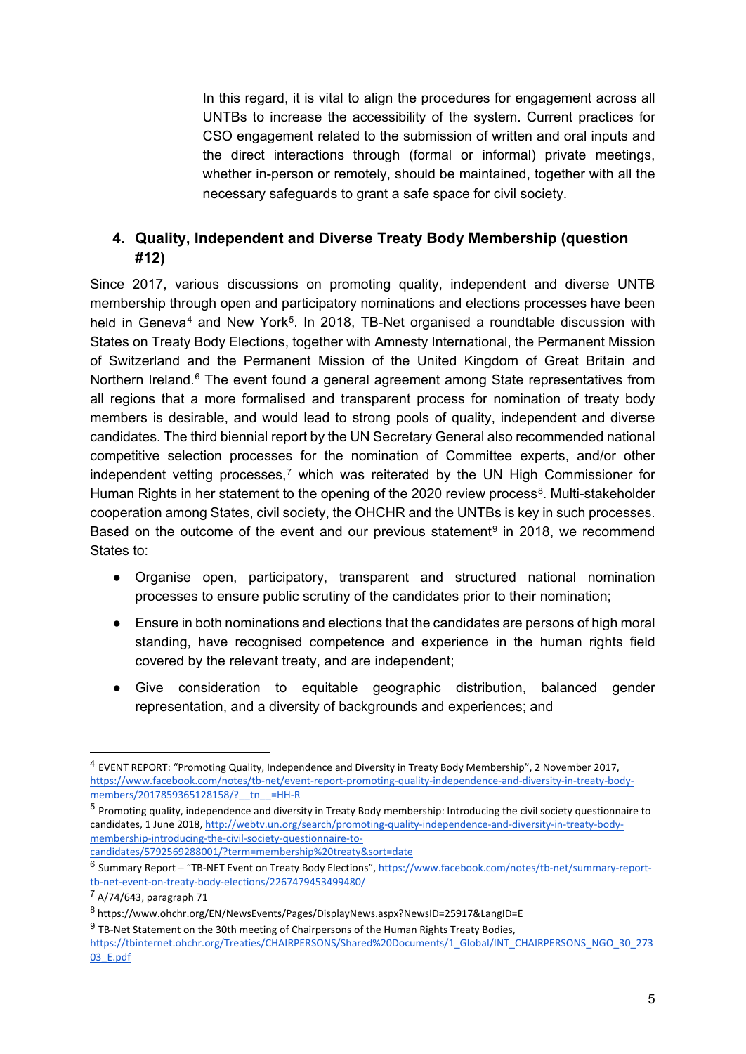In this regard, it is vital to align the procedures for engagement across all UNTBs to increase the accessibility of the system. Current practices for CSO engagement related to the submission of written and oral inputs and the direct interactions through (formal or informal) private meetings, whether in-person or remotely, should be maintained, together with all the necessary safeguards to grant a safe space for civil society.

## <span id="page-4-0"></span>**4. Quality, Independent and Diverse Treaty Body Membership (question #12)**

Since 2017, various discussions on promoting quality, independent and diverse UNTB membership through open and participatory nominations and elections processes have been held in Geneva<sup>[4](#page-4-1)</sup> and New York<sup>5</sup>. In 2018, TB-Net organised a roundtable discussion with States on Treaty Body Elections, together with Amnesty International, the Permanent Mission of Switzerland and the Permanent Mission of the United Kingdom of Great Britain and Northern Ireland.<sup>[6](#page-4-3)</sup> The event found a general agreement among State representatives from all regions that a more formalised and transparent process for nomination of treaty body members is desirable, and would lead to strong pools of quality, independent and diverse candidates. The third biennial report by the UN Secretary General also recommended national competitive selection processes for the nomination of Committee experts, and/or other independent vetting processes,<sup>[7](#page-4-4)</sup> which was reiterated by the UN High Commissioner for Human Rights in her statement to the opening of the 2020 review process<sup>8</sup>. Multi-stakeholder cooperation among States, civil society, the OHCHR and the UNTBs is key in such processes. Based on the outcome of the event and our previous statement<sup>[9](#page-4-6)</sup> in 2018, we recommend States to:

- Organise open, participatory, transparent and structured national nomination processes to ensure public scrutiny of the candidates prior to their nomination;
- Ensure in both nominations and elections that the candidates are persons of high moral standing, have recognised competence and experience in the human rights field covered by the relevant treaty, and are independent;
- Give consideration to equitable geographic distribution, balanced gender representation, and a diversity of backgrounds and experiences; and

<u>.</u>

<span id="page-4-1"></span><sup>4</sup> EVENT REPORT: "Promoting Quality, Independence and Diversity in Treaty Body Membership", 2 November 2017, [https://www.facebook.com/notes/tb-net/event-report-promoting-quality-independence-and-diversity-in-treaty-body](https://www.facebook.com/notes/tb-net/event-report-promoting-quality-independence-and-diversity-in-treaty-body-members/2017859365128158/?__tn__=HH-R)members/2017859365128158/? tn =HH-R

<span id="page-4-2"></span><sup>5</sup> Promoting quality, independence and diversity in Treaty Body membership: Introducing the civil society questionnaire to candidates, 1 June 2018, [http://webtv.un.org/search/promoting-quality-independence-and-diversity-in-treaty-body](http://webtv.un.org/search/promoting-quality-independence-and-diversity-in-treaty-body-membership-introducing-the-civil-society-questionnaire-to-candidates/5792569288001/?term=membership%20treaty&sort=date)[membership-introducing-the-civil-society-questionnaire-to](http://webtv.un.org/search/promoting-quality-independence-and-diversity-in-treaty-body-membership-introducing-the-civil-society-questionnaire-to-candidates/5792569288001/?term=membership%20treaty&sort=date)[candidates/5792569288001/?term=membership%20treaty&sort=date](http://webtv.un.org/search/promoting-quality-independence-and-diversity-in-treaty-body-membership-introducing-the-civil-society-questionnaire-to-candidates/5792569288001/?term=membership%20treaty&sort=date) 

<span id="page-4-3"></span><sup>6</sup> Summary Report – "TB-NET Event on Treaty Body Elections"[, https://www.facebook.com/notes/tb-net/summary-report](https://www.facebook.com/notes/tb-net/summary-report-tb-net-event-on-treaty-body-elections/2267479453499480/)[tb-net-event-on-treaty-body-elections/2267479453499480/](https://www.facebook.com/notes/tb-net/summary-report-tb-net-event-on-treaty-body-elections/2267479453499480/) 

<span id="page-4-4"></span> $7$  A/74/643, paragraph 71

<span id="page-4-5"></span><sup>8</sup> https://www.ohchr.org/EN/NewsEvents/Pages/DisplayNews.aspx?NewsID=25917&LangID=E

<span id="page-4-6"></span> $9$  TB-Net Statement on the 30th meeting of Chairpersons of the Human Rights Treaty Bodies,

[https://tbinternet.ohchr.org/Treaties/CHAIRPERSONS/Shared%20Documents/1\\_Global/INT\\_CHAIRPERSONS\\_NGO\\_30\\_273](https://tbinternet.ohchr.org/Treaties/CHAIRPERSONS/Shared%20Documents/1_Global/INT_CHAIRPERSONS_NGO_30_27303_E.pdf) [03\\_E.pdf](https://tbinternet.ohchr.org/Treaties/CHAIRPERSONS/Shared%20Documents/1_Global/INT_CHAIRPERSONS_NGO_30_27303_E.pdf)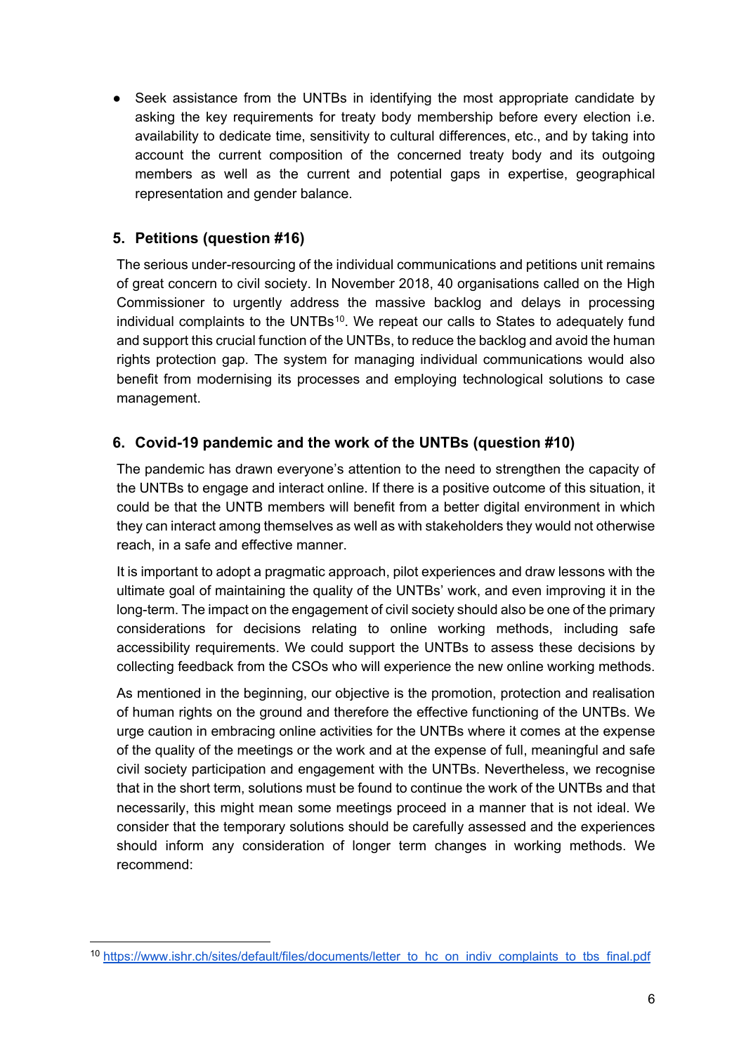● Seek assistance from the UNTBs in identifying the most appropriate candidate by asking the key requirements for treaty body membership before every election i.e. availability to dedicate time, sensitivity to cultural differences, etc., and by taking into account the current composition of the concerned treaty body and its outgoing members as well as the current and potential gaps in expertise, geographical representation and gender balance.

## <span id="page-5-0"></span>**5. Petitions (question #16)**

-

The serious under-resourcing of the individual communications and petitions unit remains of great concern to civil society. In November 2018, 40 organisations called on the High Commissioner to urgently address the massive backlog and delays in processing individual complaints to the UNTBs<sup>[1](#page-5-2)0</sup>. We repeat our calls to States to adequately fund and support this crucial function of the UNTBs, to reduce the backlog and avoid the human rights protection gap. The system for managing individual communications would also benefit from modernising its processes and employing technological solutions to case management.

## <span id="page-5-1"></span>**6. Covid-19 pandemic and the work of the UNTBs (question #10)**

The pandemic has drawn everyone's attention to the need to strengthen the capacity of the UNTBs to engage and interact online. If there is a positive outcome of this situation, it could be that the UNTB members will benefit from a better digital environment in which they can interact among themselves as well as with stakeholders they would not otherwise reach, in a safe and effective manner.

It is important to adopt a pragmatic approach, pilot experiences and draw lessons with the ultimate goal of maintaining the quality of the UNTBs' work, and even improving it in the long-term. The impact on the engagement of civil society should also be one of the primary considerations for decisions relating to online working methods, including safe accessibility requirements. We could support the UNTBs to assess these decisions by collecting feedback from the CSOs who will experience the new online working methods.

As mentioned in the beginning, our objective is the promotion, protection and realisation of human rights on the ground and therefore the effective functioning of the UNTBs. We urge caution in embracing online activities for the UNTBs where it comes at the expense of the quality of the meetings or the work and at the expense of full, meaningful and safe civil society participation and engagement with the UNTBs. Nevertheless, we recognise that in the short term, solutions must be found to continue the work of the UNTBs and that necessarily, this might mean some meetings proceed in a manner that is not ideal. We consider that the temporary solutions should be carefully assessed and the experiences should inform any consideration of longer term changes in working methods. We recommend:

<span id="page-5-2"></span><sup>&</sup>lt;sup>10</sup> https://www.ishr.ch/sites/default/files/documents/letter\_to\_hc\_on\_indiv\_complaints\_to\_tbs\_final.pdf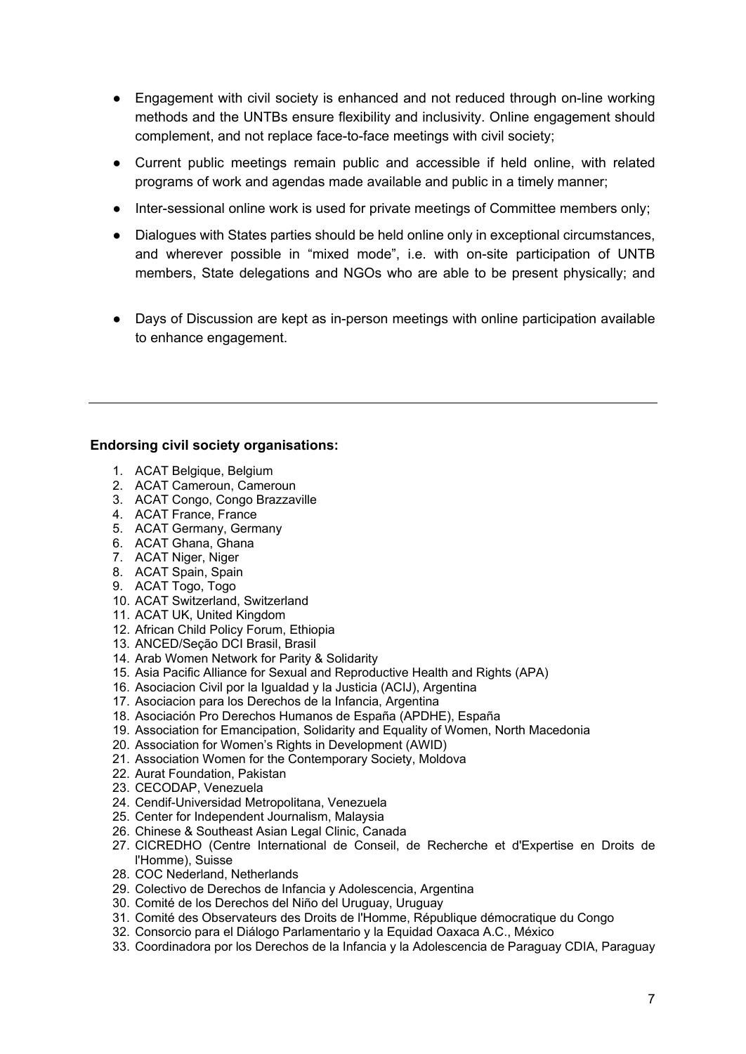- Engagement with civil society is enhanced and not reduced through on-line working methods and the UNTBs ensure flexibility and inclusivity. Online engagement should complement, and not replace face-to-face meetings with civil society;
- Current public meetings remain public and accessible if held online, with related programs of work and agendas made available and public in a timely manner;
- Inter-sessional online work is used for private meetings of Committee members only;
- Dialogues with States parties should be held online only in exceptional circumstances, and wherever possible in "mixed mode", i.e. with on-site participation of UNTB members, State delegations and NGOs who are able to be present physically; and
- Days of Discussion are kept as in-person meetings with online participation available to enhance engagement.

#### **Endorsing civil society organisations:**

- 1. ACAT Belgique, Belgium
- 2. ACAT Cameroun, Cameroun
- 3. ACAT Congo, Congo Brazzaville
- 4. ACAT France, France
- 5. ACAT Germany, Germany
- 6. ACAT Ghana, Ghana
- 7. ACAT Niger, Niger
- 8. ACAT Spain, Spain
- 9. ACAT Togo, Togo
- 10. ACAT Switzerland, Switzerland
- 11. ACAT UK, United Kingdom
- 12. African Child Policy Forum, Ethiopia
- 13. ANCED/Seção DCI Brasil, Brasil
- 14. Arab Women Network for Parity & Solidarity
- 15. Asia Pacific Alliance for Sexual and Reproductive Health and Rights (APA)
- 16. Asociacion Civil por la Igualdad y la Justicia (ACIJ), Argentina
- 17. Asociacion para los Derechos de la Infancia, Argentina
- 18. Asociación Pro Derechos Humanos de España (APDHE), España
- 19. Association for Emancipation, Solidarity and Equality of Women, North Macedonia
- 20. Association for Women's Rights in Development (AWID)
- 21. Association Women for the Contemporary Society, Moldova
- 22. Aurat Foundation, Pakistan
- 23. CECODAP, Venezuela
- 24. Cendif-Universidad Metropolitana, Venezuela
- 25. Center for Independent Journalism, Malaysia
- 26. Chinese & Southeast Asian Legal Clinic, Canada
- 27. CICREDHO (Centre International de Conseil, de Recherche et d'Expertise en Droits de l'Homme), Suisse
- 28. COC Nederland, Netherlands
- 29. Colectivo de Derechos de Infancia y Adolescencia, Argentina
- 30. Comité de los Derechos del Niño del Uruguay, Uruguay
- 31. Comité des Observateurs des Droits de l'Homme, République démocratique du Congo
- 32. Consorcio para el Diálogo Parlamentario y la Equidad Oaxaca A.C., México
- 33. Coordinadora por los Derechos de la Infancia y la Adolescencia de Paraguay CDIA, Paraguay